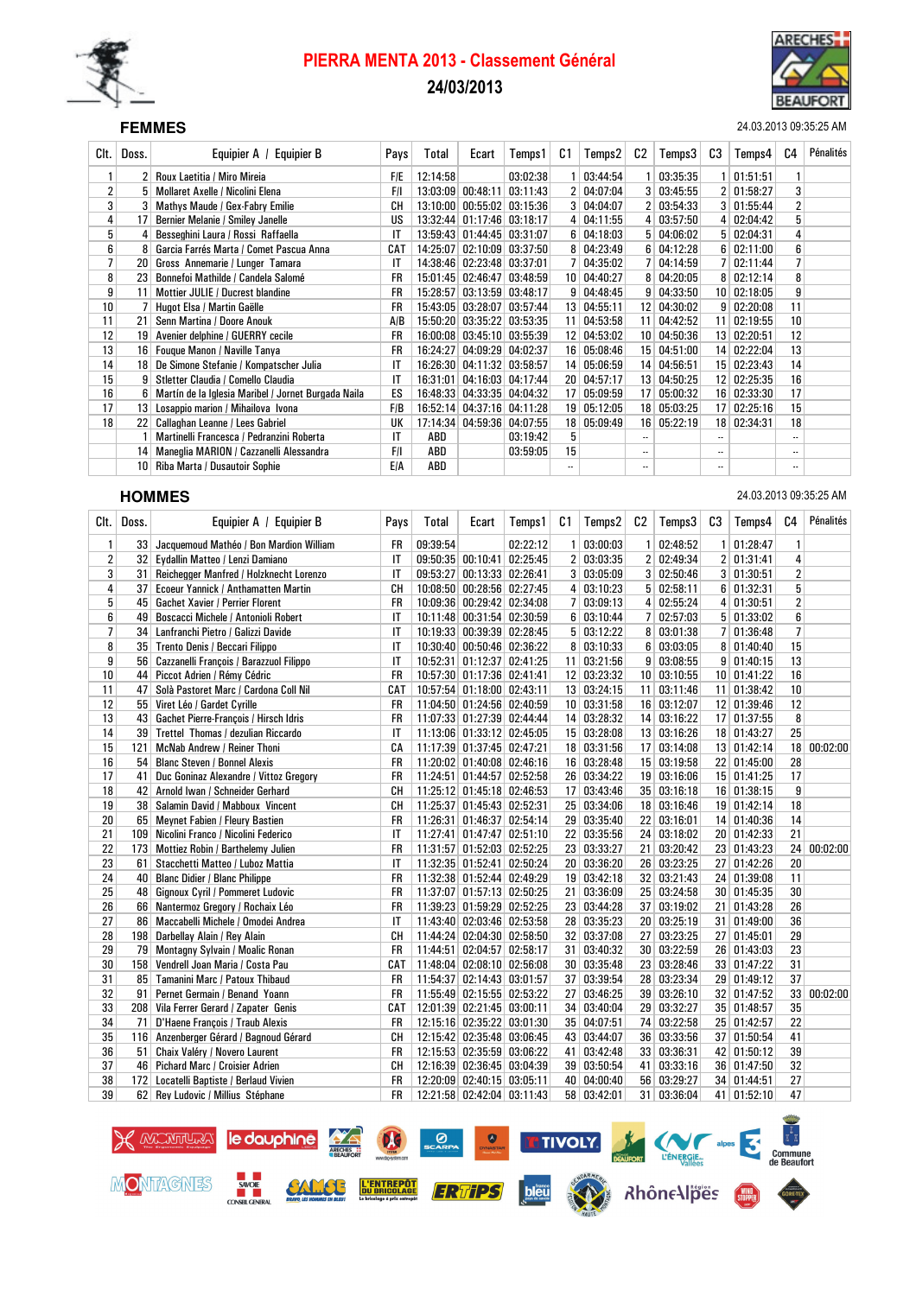

# PIERRA MENTA 2013 - Classement Général 24/03/2013



SEF **FEMMES** 24.03.2013 09:35:25 AM

| Clt.           | Doss. | <b>Equipier B</b><br>Equipier A /                   | Pays       | Total    | Ecart    | Temps 1           | C1              | Temps2      | C2              | Temps3        | C3                       | Temps4       | C4                       | Pénalités |
|----------------|-------|-----------------------------------------------------|------------|----------|----------|-------------------|-----------------|-------------|-----------------|---------------|--------------------------|--------------|--------------------------|-----------|
| 1              | 2     | Roux Laetitia / Miro Mireia                         | <b>F/E</b> | 12:14:58 |          | 03:02:38          | 1               | 03:44:54    |                 | 03:35:35      |                          | 01:51:51     | 1                        |           |
| $\overline{2}$ | 5     | <b>Mollaret Axelle / Nicolini Elena</b>             | F/I        | 13:03:09 | 00:48:11 | 03:11:43          | 2 <sup>1</sup>  | 04:07:04    |                 | 3   03:45:55  | 2 <sup>1</sup>           | 01:58:27     | 3                        |           |
| 3              |       | Mathys Maude / Gex-Fabry Emilie                     | CН         | 13:10:00 | 00:55:02 | 03:15:36          | 3               | 04:04:07    |                 | 2 03:54:33    | 3 <sup>1</sup>           | 01:55:44     | 2                        |           |
| 4              | 17    | Bernier Melanie / Smiley Janelle                    | US         | 13:32:44 | 01:17:46 | 03:18:17          | $\frac{4}{ }$   | 04:11:55    |                 | 4   03:57:50  | $\vert 4 \vert$          | 02:04:42     | 5                        |           |
| 5              |       | Besseghini Laura / Rossi Raffaella                  | IT         | 13:59:43 |          | 01:44:45 03:31:07 | 6               | 04:18:03    |                 | 5   04:06:02  |                          | 5   02:04:31 | 4                        |           |
| 6              |       | Garcia Farrés Marta / Comet Pascua Anna             | CAT        | 14:25:07 | 02:10:09 | 03:37:50          | 8               | 04:23:49    | 6               | 04:12:28      | 6                        | 02:11:00     | 6                        |           |
| 7              | 20    | Gross Annemarie / Lunger Tamara                     | IT         | 14:38:46 | 02:23:48 | 03:37:01          | 7               | 04:35:02    |                 | 04:14:59      |                          | 02:11:44     | $\overline{1}$           |           |
| 8              | 23    | Bonnefoi Mathilde / Candela Salomé                  | FR         | 15:01:45 | 02:46:47 | 03:48:59          | 10 <sup>1</sup> | 04:40:27    |                 | 04:20:05      | 8                        | 02:12:14     | 8                        |           |
| 9              | 11    | Mottier JULIE / Ducrest blandine                    | FR         | 15:28:57 | 03:13:59 | 03:48:17          | 9 <sup>1</sup>  | 04:48:45    | g               | 04:33:50      | 10 <sup>1</sup>          | 02:18:05     | 9                        |           |
| 10             |       | Hugot Elsa / Martin Gaëlle                          | FR         | 15:43:05 | 03:28:07 | 03:57:44          | 13 <sup>1</sup> | 04:55:11    |                 | 12 04:30:02   | 9 <sup>1</sup>           | 02:20:08     | 11                       |           |
| 11             | 21    | Senn Martina / Doore Anouk                          | A/B        | 15:50:20 | 03:35:22 | 03:53:35          | 11              | 04:53:58    |                 | 11 04:42:52   | 11                       | 02:19:55     | 10                       |           |
| 12             | 19    | Avenier delphine / GUERRY cecile                    | FR         | 16:00:08 | 03:45:10 | 03:55:39          | 12              | 04:53:02    |                 | 10   04:50:36 | 13                       | 02:20:51     | 12                       |           |
| 13             | 16    | Fouque Manon / Naville Tanya                        | FR         | 16:24:27 | 04:09:29 | 04:02:37          |                 | 16 05:08:46 |                 | 15 04:51:00   | 14 <sup>1</sup>          | 02:22:04     | 13                       |           |
| 14             | 18    | De Simone Stefanie / Kompatscher Julia              | IT         | 16:26:30 | 04:11:32 | 03:58:57          | 14              | 05:06:59    | 14              | 04:56:51      |                          | 15 02:23:43  | 14                       |           |
| 15             | 9     | Stletter Claudia / Comello Claudia                  | IT         | 16:31:01 | 04:16:03 | 04:17:44          | 20 <sup>1</sup> | 04:57:17    |                 | 13 04:50:25   | 12 <sup>1</sup>          | 02:25:35     | 16                       |           |
| 16             | ĥ     | Martín de la Iglesia Maribel / Jornet Burgada Naila | ES         | 16:48:33 | 04:33:35 | 04:04:32          | 17 <sup>1</sup> | 05:09:59    |                 | 17 05:00:32   |                          | 16 02:33:30  | 17                       |           |
| 17             | 13    | Losappio marion / Mihailova Ivona                   | F/B        | 16:52:14 | 04:37:16 | 04:11:28          | 19              | 05:12:05    | 18              | 05:03:25      | 17                       | 02:25:16     | 15                       |           |
| 18             | 22    | Callaghan Leanne / Lees Gabriel                     | UK         | 17:14:34 | 04:59:36 | 04:07:55          | 18 <sup>1</sup> | 05:09:49    | 16 <sup>1</sup> | 05:22:19      | 18                       | 02:34:31     | 18                       |           |
|                |       | Martinelli Francesca / Pedranzini Roberta           | IT         | ABD      |          | 03:19:42          | 5               |             |                 |               |                          |              |                          |           |
|                | 14    | Maneglia MARION / Cazzanelli Alessandra             | F/I        | ABD      |          | 03:59:05          | 15              |             | $\ddotsc$       |               | $\overline{\phantom{a}}$ |              |                          |           |
|                | 10    | Riba Marta / Dusautoir Sophie                       | <b>E/A</b> | ABD      |          |                   | $\ddotsc$       |             |                 |               | $\overline{\phantom{a}}$ |              | $\overline{\phantom{a}}$ |           |

SEH **HOMMES** 24.03.2013 09:35:25 AM

| Clt.           | Doss.           | Equipier A / Equipier B                    | Pays         | Total    | Ecart                      | Temps1   | C1             | Temps2            | C2 | Temps3        | C <sub>3</sub> | Temps4        | C <sub>4</sub> | Pénalités |
|----------------|-----------------|--------------------------------------------|--------------|----------|----------------------------|----------|----------------|-------------------|----|---------------|----------------|---------------|----------------|-----------|
| 1              |                 | 33 Jacquemoud Mathéo / Bon Mardion William | FR           | 09:39:54 |                            | 02:22:12 | 1 <sup>1</sup> | 03:00:03          |    | 02:48:52      | 1 <sup>1</sup> | 01:28:47      | 1              |           |
| $\overline{c}$ | 32              | Eydallin Matteo / Lenzi Damiano            | IT           |          | 09:50:35 00:10:41 02:25:45 |          |                | 2 03:03:35        |    | 2 02:49:34    |                | 2 01:31:41    | 4              |           |
| 3              | 31              | Reichegger Manfred / Holzknecht Lorenzo    | IT           | 09:53:27 | 00:13:33 02:26:41          |          |                | 3   03:05:09      |    | 3   02:50:46  |                | 3   01:30:51  | 2              |           |
| 4              | 37              | Ecoeur Yannick / Anthamatten Martin        | CH           |          | 10:08:50 00:28:56 02:27:45 |          |                | 4   03:10:23      |    | 5   02:58:11  |                | 6 01:32:31    | 5              |           |
| 5              | 45              | <b>Gachet Xavier / Perrier Florent</b>     | <b>FR</b>    |          | 10:09:36 00:29:42 02:34:08 |          | 7              | 03:09:13          |    | 4 02:55:24    |                | 4 01:30:51    | $\overline{2}$ |           |
| 6              | 49              | Boscacci Michele / Antonioli Robert        | IT           |          | 10:11:48 00:31:54 02:30:59 |          |                | 6 03:10:44        |    | 7   02:57:03  |                | 5   01:33:02  | 6              |           |
| 7              |                 | 34 Lanfranchi Pietro / Galizzi Davide      | IT           |          | 10:19:33 00:39:39 02:28:45 |          |                | $5 \mid 03:12:22$ |    | 8   03:01:38  |                | 7 01:36:48    | $\overline{7}$ |           |
| 8              | 35 <sup>1</sup> | Trento Denis / Beccari Filippo             | IT           |          | 10:30:40 00:50:46 02:36:22 |          |                | 8 03:10:33        |    | 6   03:03:05  |                | 8   01:40:40  | 15             |           |
| 9              | 56              | Cazzanelli François / Barazzuol Filippo    | IT           |          | 10:52:31 01:12:37 02:41:25 |          |                | 11 03:21:56       |    | 9   03:08:55  |                | 9   01:40:15  | 13             |           |
| 10             |                 | 44 Piccot Adrien / Rémy Cédric             | <b>FR</b>    |          | 10:57:30 01:17:36 02:41:41 |          |                | 12 03:23:32       |    | 10   03:10:55 |                | 10 01:41:22   | 16             |           |
| 11             | 47              | Solà Pastoret Marc / Cardona Coll Nil      | CAT          |          | 10:57:54 01:18:00 02:43:11 |          |                | 13 03:24:15       |    | 11 03:11:46   |                | 11 01:38:42   | 10             |           |
| 12             | 55 <sub>1</sub> | Viret Léo / Gardet Cyrille                 | <b>FR</b>    |          | 11:04:50 01:24:56 02:40:59 |          |                | 10   03:31:58     |    | 16 03:12:07   |                | 12 01:39:46   | 12             |           |
| 13             | 43              | Gachet Pierre-François / Hirsch Idris      | <b>FR</b>    |          | 11:07:33 01:27:39 02:44:44 |          |                | 14 03:28:32       |    | 14 03:16:22   |                | 17 01:37:55   | 8              |           |
| 14             | 39 <sup>1</sup> | Trettel Thomas / dezulian Riccardo         | IT           |          | 11:13:06 01:33:12 02:45:05 |          |                | 15 03:28:08       |    | 13 03:16:26   |                | 18 01:43:27   | 25             |           |
| 15             | 121             | McNab Andrew / Reiner Thoni                | CA           |          | 11:17:39 01:37:45 02:47:21 |          |                | 18 03:31:56       |    | 17 03:14:08   |                | 13 01:42:14   | 18             | 00:02:00  |
| 16             | 54              | <b>Blanc Steven / Bonnel Alexis</b>        | <b>FR</b>    |          | 11:20:02 01:40:08 02:46:16 |          |                | 16 03:28:48       |    | 15 03:19:58   |                | 22 01:45:00   | 28             |           |
| 17             | 41              | Duc Goninaz Alexandre / Vittoz Gregory     | <b>FR</b>    | 11:24:51 | $01:44:57$ 02:52:58        |          |                | 26 03:34:22       |    | 19 03:16:06   |                | 15 01:41:25   | 17             |           |
| 18             |                 | 42 Arnold Iwan / Schneider Gerhard         | CH           |          | 11:25:12 01:45:18 02:46:53 |          |                | 17 03:43:46       |    | 35   03:16:18 |                | 16 01:38:15   | 9              |           |
| 19             | 38 <sup>1</sup> | Salamin David / Mabboux Vincent            | CН           | 11:25:37 | 01:45:43 02:52:31          |          |                | 25 03:34:06       |    | 18   03:16:46 |                | 19 01:42:14   | 18             |           |
| 20             |                 | 65 Meynet Fabien / Fleury Bastien          | <b>FR</b>    |          | 11:26:31 01:46:37 02:54:14 |          |                | 29 03:35:40       |    | 22 03:16:01   |                | 14 01:40:36   | 14             |           |
| 21             |                 | 109 Nicolini Franco / Nicolini Federico    | $\mathsf{I}$ |          | 11:27:41 01:47:47 02:51:10 |          |                | 22 03:35:56       |    | 24 03:18:02   |                | 20 01:42:33   | 21             |           |
| 22             | 173             | Mottiez Robin / Barthelemy Julien          | <b>FR</b>    |          | 11:31:57 01:52:03 02:52:25 |          |                | 23 03:33:27       |    | 21 03:20:42   |                | 23 01:43:23   | 24             | 00:02:00  |
| 23             | 61              | Stacchetti Matteo / Luboz Mattia           | IT           |          | 11:32:35 01:52:41 02:50:24 |          |                | 20 03:36:20       |    | 26 03:23:25   |                | 27 01:42:26   | 20             |           |
| 24             | 40              | <b>Blanc Didier / Blanc Philippe</b>       | <b>FR</b>    |          | 11:32:38 01:52:44 02:49:29 |          |                | 19 03:42:18       |    | 32 03:21:43   |                | 24 01:39:08   | 11             |           |
| 25             | 48              | <b>Gignoux Cyril / Pommeret Ludovic</b>    | <b>FR</b>    |          | 11:37:07 01:57:13 02:50:25 |          |                | 21 03:36:09       |    | 25 03:24:58   |                | 30 01:45:35   | 30             |           |
| 26             |                 | 66 Nantermoz Gregory / Rochaix Léo         | <b>FR</b>    |          | 11:39:23 01:59:29 02:52:25 |          |                | 23 03:44:28       |    | 37   03:19:02 |                | 21 01:43:28   | 26             |           |
| 27             |                 | 86   Maccabelli Michele / Omodei Andrea    | IT           |          | 11:43:40 02:03:46 02:53:58 |          |                | 28 03:35:23       |    | 20 03:25:19   |                | 31   01:49:00 | 36             |           |
| 28             |                 | 198 Darbellay Alain / Rey Alain            | CH           | 11:44:24 | $02:04:30$ 02:58:50        |          |                | 32 03:37:08       |    | 27 03:23:25   |                | 27   01:45:01 | 29             |           |
| 29             |                 | 79 Montagny Sylvain / Moalic Ronan         | <b>FR</b>    | 11:44:51 | 02:04:57 02:58:17          |          |                | 31 03:40:32       |    | 30 03:22:59   |                | 26 01:43:03   | 23             |           |
| 30             |                 | 158   Vendrell Joan Maria / Costa Pau      | CAT          |          | 11:48:04 02:08:10 02:56:08 |          |                | 30   03:35:48     |    | 23 03:28:46   |                | 33 01:47:22   | 31             |           |
| 31             | 85              | Tamanini Marc / Patoux Thibaud             | <b>FR</b>    |          | 11:54:37 02:14:43 03:01:57 |          |                | 37 03:39:54       |    | 28 03:23:34   |                | 29 01:49:12   | 37             |           |
| 32             | 91              | Pernet Germain / Benand Yoann              | <b>FR</b>    |          | 11:55:49 02:15:55 02:53:22 |          |                | 27 03:46:25       |    | 39 03:26:10   |                | 32 01:47:52   | 33             | 00:02:00  |
| 33             |                 | 208 Vila Ferrer Gerard / Zapater Genis     | CAT          |          | 12:01:39 02:21:45 03:00:11 |          |                | 34 03:40:04       |    | 29 03:32:27   |                | 35 01:48:57   | 35             |           |
| 34             | 71              | D'Haene François / Traub Alexis            | <b>FR</b>    |          | 12:15:16 02:35:22 03:01:30 |          |                | 35 04:07:51       |    | 74 03:22:58   |                | 25 01:42:57   | 22             |           |
| 35             |                 | 116 Anzenberger Gérard / Bagnoud Gérard    | CН           |          | 12:15:42 02:35:48 03:06:45 |          |                | 43 03:44:07       |    | 36 03:33:56   |                | 37 01:50:54   | 41             |           |
| 36             | 51              | Chaix Valéry / Novero Laurent              | <b>FR</b>    |          | 12:15:53 02:35:59 03:06:22 |          | 41             | 03:42:48          |    | 33 03:36:31   |                | 42 01:50:12   | 39             |           |
| 37             |                 | 46   Pichard Marc / Croisier Adrien        | CH           |          | 12:16:39 02:36:45 03:04:39 |          |                | 39 03:50:54       |    | 41 03:33:16   |                | 36 01:47:50   | 32             |           |
| 38             |                 | 172 Locatelli Baptiste / Berlaud Vivien    | <b>FR</b>    |          | 12:20:09 02:40:15 03:05:11 |          |                | 40 04:00:40       |    | 56 03:29:27   |                | 34 01:44:51   | 27             |           |
| 39             |                 | 62 Rey Ludovic / Millius Stéphane          | <b>FR</b>    |          | 12:21:58 02:42:04 03:11:43 |          |                | 58 03:42:01       |    | 31 03:36:04   |                | 41 01:52:10   | 47             |           |

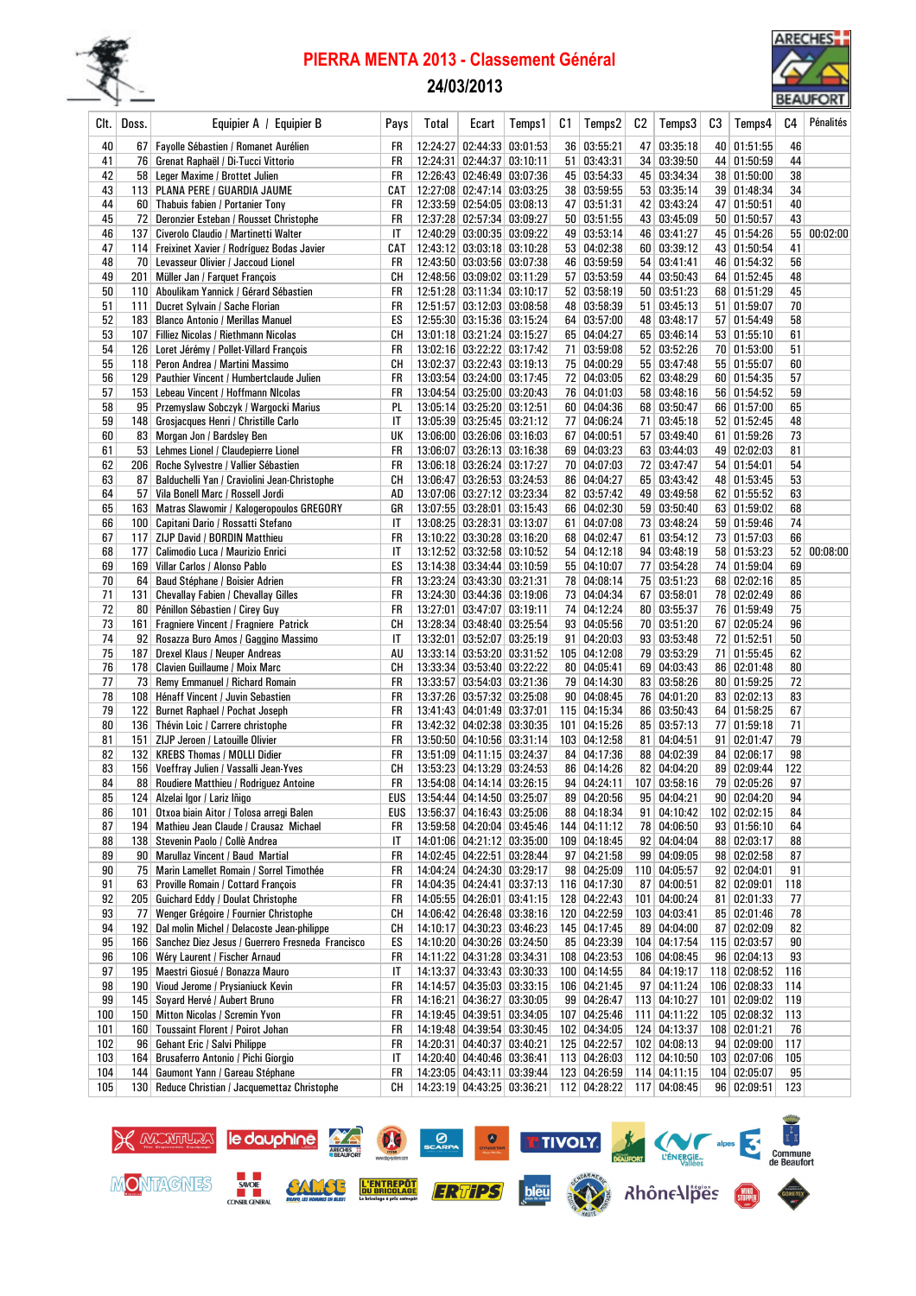

# PIERRA MENTA 2013 - Classement Général

### 24/03/2013



| Clt. I     | Doss. | Equipier A / Equipier B                                                           | Pays      | Total | Ecart                                                    | Temps1 | C1              | Temps2                       | C2 | Temps3                            | C3 | Temps4                        | C4         | Pénalités |
|------------|-------|-----------------------------------------------------------------------------------|-----------|-------|----------------------------------------------------------|--------|-----------------|------------------------------|----|-----------------------------------|----|-------------------------------|------------|-----------|
| 40         |       | 67   Fayolle Sébastien / Romanet Aurélien                                         | FR        |       | 12:24:27 02:44:33 03:01:53                               |        |                 | 36 03:55:21                  |    | 47 03:35:18                       |    | 40 01:51:55                   | 46         |           |
| 41         |       | 76 Grenat Raphaël / Di-Tucci Vittorio                                             | FR        |       | 12:24:31 02:44:37 03:10:11                               |        | 51 <sup>1</sup> | 03:43:31                     |    | 34 03:39:50                       |    | 44 01:50:59                   | 44         |           |
| 42         |       | 58 Leger Maxime / Brottet Julien                                                  | FR        |       | 12:26:43 02:46:49 03:07:36                               |        |                 | 45 03:54:33                  |    | 45 03:34:34                       |    | 38 01:50:00                   | 38         |           |
| 43         |       | 113 PLANA PERE / GUARDIA JAUME                                                    | CAT       |       | 12:27:08 02:47:14 03:03:25                               |        | 38 <sup>2</sup> | 03:59:55                     |    | 53 03:35:14                       |    | 39 01:48:34                   | 34         |           |
| 44         | 60    | Thabuis fabien / Portanier Tony                                                   | FR        |       | 12:33:59 02:54:05 03:08:13                               |        |                 | 47 03:51:31                  |    | 42 03:43:24                       |    | 47 01:50:51                   | 40         |           |
| 45         | 72    | Deronzier Esteban / Rousset Christophe                                            | FR        |       | 12:37:28 02:57:34 03:09:27                               |        |                 | 50   03:51:55                |    | 43 03:45:09                       |    | 50   01:50:57                 | 43         |           |
| 46         | 137   | Civerolo Claudio / Martinetti Walter                                              | IT        |       | 12:40:29 03:00:35 03:09:22                               |        |                 | 49 03:53:14                  |    | 46 03:41:27                       |    | 45 01:54:26                   | 55         | 00:02:00  |
| 47         |       | 114 Freixinet Xavier / Rodríguez Bodas Javier                                     | CAT       |       | 12:43:12 03:03:18 03:10:28                               |        |                 | 53 04:02:38                  |    | 60 03:39:12                       |    | 43 01:50:54                   | 41         |           |
| 48         |       | 70 Levasseur Olivier / Jaccoud Lionel                                             | FR        |       | 12:43:50 03:03:56 03:07:38                               |        |                 | 46 03:59:59                  |    | 54 03:41:41                       |    | 46 01:54:32                   | 56         |           |
| 49<br>50   | 201   | Müller Jan / Farquet François<br>110 Aboulikam Yannick / Gérard Sébastien         | CН<br>FR  |       | 12:48:56 03:09:02 03:11:29<br>12:51:28 03:11:34 03:10:17 |        |                 | 57 03:53:59<br>52   03:58:19 |    | 44 03:50:43<br>$50 \mid 03:51:23$ |    | 64 01:52:45<br>68 01:51:29    | 48<br>45   |           |
| 51         | 111   | Ducret Sylvain / Sache Florian                                                    | FR        |       | 12:51:57 03:12:03 03:08:58                               |        |                 | 48 03:58:39                  |    | 51 03:45:13                       |    | 51   01:59:07                 | 70         |           |
| 52         |       | 183   Blanco Antonio / Merillas Manuel                                            | ES        |       | 12:55:30 03:15:36 03:15:24                               |        |                 | 64 03:57:00                  |    | 48 03:48:17                       |    | 57 01:54:49                   | 58         |           |
| 53         |       | 107   Filliez Nicolas / Riethmann Nicolas                                         | CН        |       | 13:01:18 03:21:24 03:15:27                               |        |                 | 65 04:04:27                  |    | 65 03:46:14                       |    | 53   01:55:10                 | 61         |           |
| 54         |       | 126 Loret Jérémy / Pollet-Villard François                                        | FR        |       | 13:02:16 03:22:22 03:17:42                               |        | 71              | 03:59:08                     |    | 52 03:52:26                       |    | 70 01:53:00                   | 51         |           |
| 55         |       | 118 Peron Andrea / Martini Massimo                                                | CН        |       | 13:02:37 03:22:43 03:19:13                               |        |                 | 75 04:00:29                  |    | 55 03:47:48                       |    | 55 01:55:07                   | 60         |           |
| 56         |       | 129   Pauthier Vincent / Humbertclaude Julien                                     | FR        |       | 13:03:54 03:24:00 03:17:45                               |        |                 | 72 04:03:05                  |    | 62 03:48:29                       |    | 60 01:54:35                   | 57         |           |
| 57         |       | 153 Lebeau Vincent / Hoffmann NIcolas                                             | FR        |       | 13:04:54 03:25:00 03:20:43                               |        |                 | 76 04:01:03                  |    | 58 03:48:16                       |    | 56 01:54:52                   | 59         |           |
| 58         |       | 95 Przemyslaw Sobczyk / Wargocki Marius                                           | PL        |       | 13:05:14 03:25:20 03:12:51                               |        |                 | 60 04:04:36                  |    | 68 03:50:47                       |    | 66 01:57:00                   | 65         |           |
| 59         |       | 148 Grosjacques Henri / Christille Carlo                                          | IT        |       | 13:05:39 03:25:45 03:21:12                               |        | 77              | 04:06:24                     |    | 71 03:45:18                       |    | 52 01:52:45                   | 48         |           |
| 60         |       | 83 Morgan Jon / Bardsley Ben                                                      | UK        |       | 13:06:00 03:26:06 03:16:03                               |        |                 | 67 04:00:51                  |    | 57 03:49:40                       |    | 61 01:59:26                   | 73         |           |
| 61         |       | 53 Lehmes Lionel / Claudepierre Lionel                                            | FR        |       | 13:06:07 03:26:13 03:16:38                               |        |                 | 69 04:03:23                  |    | 63 03:44:03                       |    | 49 02:02:03                   | 81         |           |
| 62         |       | 206   Roche Sylvestre / Vallier Sébastien                                         | FR        |       | 13:06:18 03:26:24 03:17:27                               |        |                 | 70 04:07:03                  |    | 72 03:47:47                       |    | 54   01:54:01                 | 54         |           |
| 63         | 87    | Balduchelli Yan / Craviolini Jean-Christophe                                      | CН        |       | 13:06:47 03:26:53 03:24:53                               |        |                 | 86 04:04:27                  |    | 65 03:43:42                       |    | 48 01:53:45                   | 53         |           |
| 64         | 57    | Vila Bonell Marc / Rossell Jordi                                                  | AD        |       | 13:07:06 03:27:12 03:23:34                               |        |                 | 82 03:57:42                  |    | 49 03:49:58                       |    | 62 01:55:52                   | 63         |           |
| 65         |       | 163 Matras Slawomir / Kalogeropoulos GREGORY                                      | GR        |       | 13:07:55 03:28:01 03:15:43                               |        |                 | 66 04:02:30                  |    | 59 03:50:40                       |    | 63 01:59:02                   | 68         |           |
| 66         |       | 100   Capitani Dario / Rossatti Stefano                                           | IT        |       | 13:08:25 03:28:31 03:13:07                               |        | 61              | 04:07:08                     |    | 73 03:48:24                       |    | 59 01:59:46                   | 74         |           |
| 67         | 117   | ZIJP David / BORDIN Matthieu                                                      | FR        |       | 13:10:22 03:30:28 03:16:20                               |        |                 | 68 04:02:47                  |    | 61 03:54:12                       |    | 73 01:57:03                   | 66         |           |
| 68         | 177   | Calimodio Luca / Maurizio Enrici                                                  | IT        |       | 13:12:52 03:32:58 03:10:52                               |        | 54              | 04:12:18                     |    | 94 03:48:19                       |    | 58 01:53:23                   | 52         | 00:08:00  |
| 69<br>70   | 169   | Villar Carlos / Alonso Pablo                                                      | ES<br>FR  |       | 13:14:38 03:34:44 03:10:59<br>13:23:24 03:43:30 03:21:31 |        |                 | 55 04:10:07<br>78 04:08:14   |    | 77 03:54:28<br>75 03:51:23        |    | 74 01:59:04<br>68   02:02:16  | 69<br>85   |           |
| 71         | 131   | 64   Baud Stéphane / Boisier Adrien<br><b>Chevallay Fabien / Chevallay Gilles</b> | FR        |       | 13:24:30 03:44:36 03:19:06                               |        |                 | 73 04:04:34                  |    | 67 03:58:01                       |    | 78 02:02:49                   | 86         |           |
| 72         |       | 80 Pénillon Sébastien / Cirey Guy                                                 | FR        |       | 13:27:01 03:47:07 03:19:11                               |        |                 | 74 04:12:24                  |    | 80 03:55:37                       |    | 76 01:59:49                   | 75         |           |
| 73         | 161   | Fragniere Vincent / Fragniere Patrick                                             | CН        |       | 13:28:34 03:48:40 03:25:54                               |        |                 | 93 04:05:56                  |    | 70 03:51:20                       |    | 67 02:05:24                   | 96         |           |
| 74         | 92    | Rosazza Buro Amos / Gaggino Massimo                                               | IT        |       | 13:32:01 03:52:07 03:25:19                               |        |                 | 91   04:20:03                |    | 93 03:53:48                       |    | 72 01:52:51                   | 50         |           |
| 75         |       | 187 Drexel Klaus / Neuper Andreas                                                 | AU        |       | 13:33:14 03:53:20 03:31:52                               |        |                 | 105 04:12:08                 |    | 79 03:53:29                       |    | 71 01:55:45                   | 62         |           |
| 76         |       | 178 Clavien Guillaume / Moix Marc                                                 | CН        |       | 13:33:34 03:53:40 03:22:22                               |        |                 | 80 04:05:41                  |    | 69 04:03:43                       |    | 86 02:01:48                   | 80         |           |
| 77         |       | 73 Remy Emmanuel / Richard Romain                                                 | FR        |       | 13:33:57 03:54:03 03:21:36                               |        |                 | 79 04:14:30                  |    | 83 03:58:26                       |    | 80 01:59:25                   | 72         |           |
| 78         |       | 108   Hénaff Vincent / Juvin Sebastien                                            | FR        |       | 13:37:26 03:57:32 03:25:08                               |        |                 | 90   04:08:45                |    | 76 04:01:20                       |    | 83   02:02:13                 | 83         |           |
| 79         |       | 122 Burnet Raphael / Pochat Joseph                                                | FR        |       | 13:41:43 04:01:49 03:37:01                               |        |                 | 115 04:15:34                 |    | 86 03:50:43                       |    | 64 01:58:25                   | 67         |           |
| 80         |       | 136   Thévin Loic / Carrere christophe                                            | FR        |       | 13:42:32 04:02:38 03:30:35                               |        |                 | 101 04:15:26                 |    | 85 03:57:13                       |    | 77 01:59:18                   | 71         |           |
| 81         | 151   | ZIJP Jeroen / Latouille Olivier                                                   | FR        |       | 13:50:50 04:10:56 03:31:14                               |        |                 | 103 04:12:58                 |    | 81 04:04:51                       |    | 91   02:01:47                 | 79         |           |
| 82         |       | 132   KREBS Thomas / MOLLI Didier                                                 | FR        |       | 13:51:09 04:11:15 03:24:37                               |        |                 | 84 04:17:36                  |    | 88 04:02:39                       |    | 84   02:06:17                 | 98         |           |
| 83         |       | 156 Voeffray Julien / Vassalli Jean-Yves                                          | CН        |       | 13:53:23 04:13:29 03:24:53                               |        |                 | 86 04:14:26                  |    | 82 04:04:20                       |    | 89 02:09:44                   | 122        |           |
| 84         |       | 88 Roudiere Matthieu / Rodriguez Antoine<br>124 Alzelai Igor / Lariz Iñigo        | <b>FR</b> |       | 13:54:08 04:14:14 03:26:15                               |        |                 | 94 04:24:11                  |    | $107$ 03:58:16                    |    | 79 02:05:26                   | 97         |           |
| 85         |       | 101   Otxoa biain Aitor / Tolosa arregi Balen                                     |           |       | EUS   13:54:44 04:14:50 03:25:07                         |        |                 | 89 04:20:56                  |    | 95 04:04:21<br>91 04:10:42        |    | 90 02:04:20                   | 94         |           |
| 86<br>87   |       | 194   Mathieu Jean Claude / Crausaz Michael                                       | EUS<br>FR |       | 13:56:37 04:16:43 03:25:06<br>13:59:58 04:20:04 03:45:46 |        |                 | 88 04:18:34<br>144 04:11:12  |    | 78 04:06:50                       |    | 102 02:02:15<br>93   01:56:10 | 84<br>64   |           |
| 88         |       | 138   Stevenin Paolo / Collè Andrea                                               | IT        |       | 14:01:06 04:21:12 03:35:00                               |        |                 | 109 04:18:45                 |    | 92 04:04:04                       |    | 88 02:03:17                   | 88         |           |
| 89         |       | 90   Marullaz Vincent / Baud Martial                                              | FR        |       | 14:02:45 04:22:51 03:28:44                               |        |                 | 97 04:21:58                  |    | 99 04:09:05                       |    | 98 02:02:58                   | 87         |           |
| 90         |       | 75   Marin Lamellet Romain / Sorrel Timothée                                      | FR        |       | 14:04:24 04:24:30 03:29:17                               |        |                 | 98 04:25:09                  |    | 110 04:05:57                      |    | 92   02:04:01                 | 91         |           |
| 91         |       | 63 Proville Romain / Cottard François                                             | FR        |       | 14:04:35 04:24:41 03:37:13                               |        |                 | 116 04:17:30                 |    | 87 04:00:51                       |    | 82 02:09:01                   | 118        |           |
| 92         |       | 205 Guichard Eddy / Doulat Christophe                                             | FR        |       | 14:05:55 04:26:01 03:41:15                               |        |                 | 128 04:22:43                 |    | 101 04:00:24                      |    | 81 02:01:33                   | 77         |           |
| 93         |       | 77   Wenger Grégoire / Fournier Christophe                                        | CН        |       | 14:06:42 04:26:48 03:38:16                               |        |                 | 120 04:22:59                 |    | 103 04:03:41                      |    | 85 02:01:46                   | 78         |           |
| 94         |       | 192   Dal molin Michel / Delacoste Jean-philippe                                  | CН        |       | 14:10:17 04:30:23 03:46:23                               |        |                 | 145 04:17:45                 |    | 89 04:04:00                       |    | 87 02:02:09                   | 82         |           |
| 95         |       | 166   Sanchez Diez Jesus / Guerrero Fresneda Francisco                            | ES        |       | 14:10:20 04:30:26 03:24:50                               |        |                 | 85 04:23:39                  |    | 104 04:17:54                      |    | 115 02:03:57                  | 90         |           |
| 96         |       | 106   Wéry Laurent / Fischer Arnaud                                               | FR        |       | 14:11:22 04:31:28 03:34:31                               |        |                 | 108 04:23:53                 |    | 106 04:08:45                      |    | 96   02:04:13                 | 93         |           |
| 97         |       | 195   Maestri Giosué / Bonazza Mauro                                              | IT        |       | 14:13:37 04:33:43 03:30:33                               |        |                 | 100 04:14:55                 |    | 84 04:19:17                       |    | 118 02:08:52                  | 116        |           |
| 98         |       | 190 Vioud Jerome / Prysianiuck Kevin                                              | FR        |       | 14:14:57 04:35:03 03:33:15                               |        |                 | 106 04:21:45                 |    | 97 04:11:24                       |    | 106 02:08:33                  | 114        |           |
| 99         |       | 145 Soyard Hervé / Aubert Bruno                                                   | FR        |       | 14:16:21 04:36:27 03:30:05                               |        |                 | 99 04:26:47                  |    | 113 04:10:27                      |    | $101 \mid 02:09:02$           | 119        |           |
| 100        |       | 150 Mitton Nicolas / Scremin Yvon                                                 | FR        |       | 14:19:45 04:39:51 03:34:05                               |        |                 | 107 04:25:46                 |    | 111 04:11:22                      |    | 105 02:08:32                  | 113        |           |
| 101        |       | 160 Toussaint Florent / Poirot Johan                                              | FR        |       | 14:19:48 04:39:54 03:30:45                               |        |                 | 102 04:34:05                 |    | 124 04:13:37                      |    | 108 02:01:21                  | 76         |           |
| 102<br>103 | 164   | 96 Gehant Eric / Salvi Philippe<br>Brusaferro Antonio / Pichi Giorgio             | FR<br>IT  |       | 14:20:31 04:40:37 03:40:21<br>14:20:40 04:40:46 03:36:41 |        |                 | 125 04:22:57<br>113 04:26:03 |    | 102 04:08:13<br>112 04:10:50      |    | 94   02:09:00<br>103 02:07:06 | 117<br>105 |           |
| 104        |       | 144 Gaumont Yann / Gareau Stéphane                                                | FR        |       | 14:23:05 04:43:11 03:39:44                               |        |                 | 123 04:26:59                 |    | 114 04:11:15                      |    | $104$ 02:05:07                | 95         |           |
| 105        |       | 130 Reduce Christian / Jacquemettaz Christophe                                    | CН        |       | 14:23:19 04:43:25 03:36:21                               |        |                 | 112 04:28:22                 |    | 117 04:08:45                      |    | 96 02:09:51                   | 123        |           |
|            |       |                                                                                   |           |       |                                                          |        |                 |                              |    |                                   |    |                               |            |           |

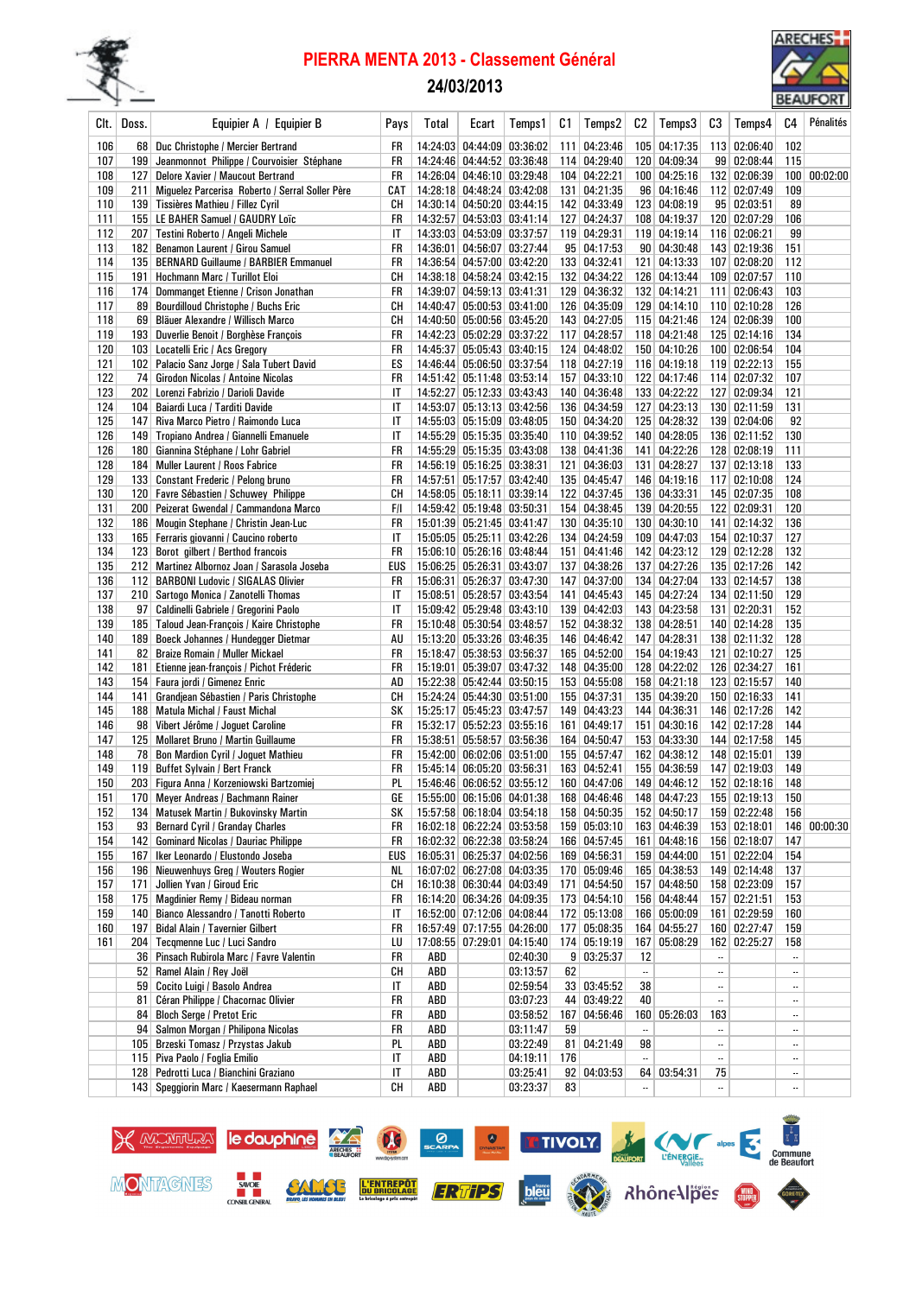

# PIERRA MENTA 2013 - Classement Général

### 24/03/2013



| Clt.       | Doss. | Equipier A / Equipier B                                                     | Pays      | Total      | Ecart                                                    | Temps 1              | C1  | Temps2                       | C2 | Temps3                       | C3             | Temps4                       | C4                       | Pénalités    |
|------------|-------|-----------------------------------------------------------------------------|-----------|------------|----------------------------------------------------------|----------------------|-----|------------------------------|----|------------------------------|----------------|------------------------------|--------------------------|--------------|
| 106        | 68    | Duc Christophe / Mercier Bertrand                                           | FR        |            | 14:24:03 04:44:09 03:36:02                               |                      |     | 111 04:23:46                 |    | 105 04:17:35                 |                | 113 02:06:40                 | 102                      |              |
| 107        | 199   | Jeanmonnot Philippe / Courvoisier Stéphane                                  | FR        |            | 14:24:46 04:44:52 03:36:48                               |                      |     | 114 04:29:40                 |    | 120 04:09:34                 |                | 99 02:08:44                  | 115                      |              |
| 108        | 127   | Delore Xavier / Maucout Bertrand                                            | FR        |            | 14:26:04 04:46:10 03:29:48                               |                      |     | 104 04:22:21                 |    | 100 04:25:16                 |                | 132 02:06:39                 | 100                      | 00:02:00     |
| 109        | 211   | Miguelez Parcerisa Roberto / Serral Soller Père                             | CAT       |            | 14:28:18 04:48:24 03:42:08                               |                      |     | 131 04:21:35                 |    | 96 04:16:46                  |                | 112 02:07:49                 | 109                      |              |
| 110        |       | 139 Tissières Mathieu / Fillez Cyril                                        | CН        |            | 14:30:14 04:50:20 03:44:15                               |                      |     | 142 04:33:49                 |    | 123 04:08:19                 |                | 95 02:03:51                  | 89                       |              |
| 111        |       | 155   LE BAHER Samuel / GAUDRY Loïc                                         | FR        |            | 14:32:57 04:53:03 03:41:14                               |                      |     | 127 04:24:37                 |    | 108 04:19:37                 |                | 120 02:07:29                 | 106                      |              |
| 112        | 207   | Testini Roberto / Angeli Michele                                            | IT        |            | 14:33:03 04:53:09 03:37:57                               |                      |     | 119 04:29:31                 |    | 119 04:19:14                 |                | 116 02:06:21                 | 99                       |              |
| 113        | 182   | Benamon Laurent / Girou Samuel                                              | FR        |            | 14:36:01 04:56:07 03:27:44                               |                      |     | 95 04:17:53                  |    | 90 04:30:48                  |                | 143 02:19:36                 | 151                      |              |
| 114<br>115 | 191   | 135   BERNARD Guillaume / BARBIER Emmanuel<br>Hochmann Marc / Turillot Eloi | FR<br>CН  |            | 14:36:54 04:57:00 03:42:20<br>14:38:18 04:58:24 03:42:15 |                      |     | 133 04:32:41<br>132 04:34:22 |    | 121 04:13:33<br>126 04:13:44 |                | 107 02:08:20<br>109 02:07:57 | 112<br>110               |              |
| 116        | 174   | Dommanget Etienne / Crison Jonathan                                         | FR        |            | 14:39:07 04:59:13 03:41:31                               |                      |     | 129 04:36:32                 |    | 132 04:14:21                 |                | 111 02:06:43                 | 103                      |              |
| 117        |       | 89 Bourdilloud Christophe / Buchs Eric                                      | CН        |            | 14:40:47 05:00:53 03:41:00                               |                      |     | 126 04:35:09                 |    | 129 04:14:10                 |                | 110 02:10:28                 | 126                      |              |
| 118        |       | 69   Bläuer Alexandre / Willisch Marco                                      | CН        |            | 14:40:50 05:00:56 03:45:20                               |                      |     | 143 04:27:05                 |    | 115 04:21:46                 |                | 124 02:06:39                 | 100                      |              |
| 119        |       | 193 Duverlie Benoit / Borghèse François                                     | FR        |            | 14:42:23 05:02:29 03:37:22                               |                      |     | 117 04:28:57                 |    | 118 04:21:48                 |                | 125 02:14:16                 | 134                      |              |
| 120        |       | 103 Locatelli Eric / Acs Gregory                                            | FR        |            | 14:45:37 05:05:43 03:40:15                               |                      |     | 124 04:48:02                 |    | 150 04:10:26                 |                | 100 02:06:54                 | 104                      |              |
| 121        |       | 102   Palacio Sanz Jorge / Sala Tubert David                                | ES        |            | 14:46:44 05:06:50 03:37:54                               |                      |     | 118 04:27:19                 |    | 116 04:19:18                 |                | 119 02:22:13                 | 155                      |              |
| 122        | 74    | <b>Girodon Nicolas / Antoine Nicolas</b>                                    | FR        |            | 14:51:42 05:11:48 03:53:14                               |                      |     | 157 04:33:10                 |    | 122 04:17:46                 |                | 114 02:07:32                 | 107                      |              |
| 123        |       | 202 Lorenzi Fabrizio / Darioli Davide                                       | IT        |            | 14:52:27 05:12:33 03:43:43                               |                      |     | 140 04:36:48                 |    | 133 04:22:22                 |                | 127 02:09:34                 | 121                      |              |
| 124        | 104   | Baiardi Luca / Tarditi Davide                                               | IT        |            | 14:53:07 05:13:13 03:42:56                               |                      |     | 136 04:34:59                 |    | 127 04:23:13                 |                | 130 02:11:59                 | 131                      |              |
| 125        |       | 147   Riva Marco Pietro / Raimondo Luca                                     | IT        |            | 14:55:03 05:15:09 03:48:05                               |                      |     | 150 04:34:20                 |    | 125 04:28:32                 |                | 139 02:04:06                 | 92                       |              |
| 126        |       | 149 Tropiano Andrea / Giannelli Emanuele                                    | IT        |            | 14:55:29 05:15:35 03:35:40                               |                      |     | 110 04:39:52                 |    | 140 04:28:05                 |                | 136 02:11:52                 | 130                      |              |
| 126        |       | 180 Giannina Stéphane / Lohr Gabriel                                        | FR        |            | 14:55:29 05:15:35 03:43:08                               |                      |     | 138 04:41:36                 |    | 141 04:22:26                 |                | 128 02:08:19                 | 111                      |              |
| 128<br>129 |       | 184   Muller Laurent / Roos Fabrice<br>133 Constant Frederic / Pelong bruno | FR<br>FR  |            | 14:56:19 05:16:25 03:38:31<br>14:57:51 05:17:57 03:42:40 |                      |     | 121 04:36:03<br>135 04:45:47 |    | 131 04:28:27<br>146 04:19:16 |                | 137 02:13:18<br>117 02:10:08 | 133<br>124               |              |
| 130        |       | 120 Favre Sébastien / Schuwey Philippe                                      | CН        |            | 14:58:05 05:18:11 03:39:14                               |                      |     | 122 04:37:45                 |    | 136 04:33:31                 |                | 145 02:07:35                 | 108                      |              |
| 131        |       | 200 Peizerat Gwendal / Cammandona Marco                                     | F/I       |            | 14:59:42 05:19:48 03:50:31                               |                      |     | 154 04:38:45                 |    | 139 04:20:55                 |                | 122 02:09:31                 | 120                      |              |
| 132        |       | 186   Mougin Stephane / Christin Jean-Luc                                   | <b>FR</b> |            | 15:01:39 05:21:45 03:41:47                               |                      |     | 130 04:35:10                 |    | 130 04:30:10                 |                | 141 02:14:32                 | 136                      |              |
| 133        |       | 165 Ferraris giovanni / Caucino roberto                                     | IT        |            | 15:05:05 05:25:11 03:42:26                               |                      |     | 134 04:24:59                 |    | 109 04:47:03                 |                | 154 02:10:37                 | 127                      |              |
| 134        |       | 123 Borot gilbert / Berthod francois                                        | FR        |            | 15:06:10 05:26:16 03:48:44                               |                      |     | 151 04:41:46                 |    | 142 04:23:12                 |                | 129 02:12:28                 | 132                      |              |
| 135        |       | 212 Martinez Albornoz Joan / Sarasola Joseba                                | EUS       |            | 15:06:25 05:26:31 03:43:07                               |                      |     | 137 04:38:26                 |    | 137 04:27:26                 |                | 135 02:17:26                 | 142                      |              |
| 136        |       | 112 BARBONI Ludovic / SIGALAS Olivier                                       | FR        |            | 15:06:31 05:26:37 03:47:30                               |                      |     | 147 04:37:00                 |    | 134 04:27:04                 |                | 133 02:14:57                 | 138                      |              |
| 137        |       | 210 Sartogo Monica / Zanotelli Thomas                                       | IT        |            | 15:08:51 05:28:57 03:43:54                               |                      |     | 141 04:45:43                 |    | 145 04:27:24                 |                | 134 02:11:50                 | 129                      |              |
| 138        |       | 97   Caldinelli Gabriele / Gregorini Paolo                                  | IT        |            | 15:09:42 05:29:48 03:43:10                               |                      |     | 139 04:42:03                 |    | 143 04:23:58                 |                | 131 02:20:31                 | 152                      |              |
| 139        |       | 185 Taloud Jean-François / Kaire Christophe                                 | <b>FR</b> |            | 15:10:48 05:30:54 03:48:57                               |                      |     | 152 04:38:32                 |    | 138 04:28:51                 |                | 140 02:14:28                 | 135                      |              |
| 140        |       | 189 Boeck Johannes / Hundegger Dietmar                                      | AU        |            | 15:13:20 05:33:26 03:46:35                               |                      |     | 146 04:46:42                 |    | 147 04:28:31                 |                | 138 02:11:32                 | 128                      |              |
| 141        |       | 82 Braize Romain / Muller Mickael                                           | FR        |            | 15:18:47 05:38:53 03:56:37                               |                      |     | 165 04:52:00                 |    | 154 04:19:43                 |                | 121 02:10:27                 | 125                      |              |
| 142<br>143 | 181   | Etienne jean-françois / Pichot Fréderic                                     | FR<br>AD  |            | 15:19:01 05:39:07 03:47:32<br>15:22:38 05:42:44 03:50:15 |                      |     | 148 04:35:00<br>153 04:55:08 |    | 128 04:22:02<br>158 04:21:18 |                | 126 02:34:27<br>123 02:15:57 | 161<br>140               |              |
| 144        | 141   | 154   Faura jordi / Gimenez Enric<br>Grandjean Sébastien / Paris Christophe | CН        |            | 15:24:24 05:44:30 03:51:00                               |                      |     | 155 04:37:31                 |    | 135 04:39:20                 |                | 150 02:16:33                 | 141                      |              |
| 145        |       | 188 Matula Michal / Faust Michal                                            | SK        |            | 15:25:17 05:45:23 03:47:57                               |                      |     | 149 04:43:23                 |    | 144 04:36:31                 |                | 146 02:17:26                 | 142                      |              |
| 146        |       | 98 Vibert Jérôme / Joguet Caroline                                          | FR        |            | 15:32:17 05:52:23 03:55:16                               |                      |     | 161 04:49:17                 |    | 151 04:30:16                 |                | 142 02:17:28                 | 144                      |              |
| 147        |       | 125   Mollaret Bruno / Martin Guillaume                                     | FR        |            | 15:38:51 05:58:57 03:56:36                               |                      |     | 164 04:50:47                 |    | 153 04:33:30                 |                | 144 02:17:58                 | 145                      |              |
| 148        |       | 78 Bon Mardion Cyril / Joguet Mathieu                                       | FR        |            | 15:42:00 06:02:06 03:51:00                               |                      |     | 155 04:57:47                 |    | 162 04:38:12                 |                | 148 02:15:01                 | 139                      |              |
| 149        |       | 119 Buffet Sylvain / Bert Franck                                            | FR        |            | 15:45:14 06:05:20 03:56:31                               |                      |     | 163 04:52:41                 |    | 155 04:36:59                 |                | 147 02:19:03                 | 149                      |              |
| 150        |       | 203   Figura Anna / Korzeniowski Bartzomiej                                 | PL        |            | 15:46:46 06:06:52 03:55:12                               |                      |     | 160 04:47:06                 |    | 149 04:46:12                 |                | 152 02:18:16                 | 148                      |              |
| 151        |       | 170   Meyer Andreas / Bachmann Rainer                                       | GE        |            | 15:55:00 06:15:06 04:01:38                               |                      |     | 168 04:46:46                 |    | 148 04:47:23                 |                | 155 02:19:13                 | 150                      |              |
| 152        |       | 134 Matusek Martin / Bukovinsky Martin                                      | SK        |            | 15:57:58 06:18:04 03:54:18                               |                      |     | 158 04:50:35                 |    | 152 04:50:17                 |                | 159 02:22:48                 | 156                      |              |
| 153        |       | 93   Bernard Cyril / Granday Charles                                        | FR        |            | 16:02:18 06:22:24 03:53:58                               |                      |     | 159 05:03:10                 |    | 163 04:46:39                 |                | 153 02:18:01                 |                          | 146 00:00:30 |
| 154        |       | 142 Gominard Nicolas / Dauriac Philippe                                     | FR        |            | 16:02:32 06:22:38 03:58:24                               |                      |     | 166 04:57:45                 |    | 161 04:48:16                 |                | 156 02:18:07                 | 147                      |              |
| 155        |       | 167   Iker Leonardo / Elustondo Joseba                                      | EUS       |            | 16:05:31 06:25:37 04:02:56                               |                      |     | 169 04:56:31                 |    | 159 04:44:00                 |                | 151 02:22:04                 | 154                      |              |
| 156        |       | 196 Nieuwenhuys Greg / Wouters Rogier<br>Jollien Yvan / Giroud Eric         | NL        |            | 16:07:02 06:27:08 04:03:35<br>16:10:38 06:30:44 04:03:49 |                      |     | 170 05:09:46<br>171 04:54:50 |    | 165 04:38:53<br>157 04:48:50 |                | 149 02:14:48<br>158 02:23:09 | 137                      |              |
| 157<br>158 | 171   | 175   Magdinier Remy / Bideau norman                                        | CН<br>FR  |            | 16:14:20 06:34:26 04:09:35                               |                      |     | 173 04:54:10                 |    | 156 04:48:44                 |                | 157 02:21:51                 | 157<br>153               |              |
| 159        |       | 140 Bianco Alessandro / Tanotti Roberto                                     | IT        |            | 16:52:00 07:12:06 04:08:44                               |                      |     | 172 05:13:08                 |    | 166 05:00:09                 |                | 161 02:29:59                 | 160                      |              |
| 160        | 197   | <b>Bidal Alain / Tavernier Gilbert</b>                                      | FR        |            | 16:57:49 07:17:55 04:26:00                               |                      |     | 177 05:08:35                 |    | 164 04:55:27                 |                | 160 02:27:47                 | 159                      |              |
| 161        |       | 204   Tecqmenne Luc / Luci Sandro                                           | LU        |            | 17:08:55 07:29:01 04:15:40                               |                      |     | 174 05:19:19                 |    | 167 05:08:29                 |                | 162 02:25:27                 | 158                      |              |
|            |       | 36   Pinsach Rubirola Marc / Favre Valentin                                 | FR        | ABD        |                                                          | 02:40:30             |     | 9   03:25:37                 | 12 |                              |                |                              | $\ldots$                 |              |
|            |       | 52 Ramel Alain / Rey Joël                                                   | CН        | ABD        |                                                          | 03:13:57             | 62  |                              |    |                              | $\ldots$       |                              | $\ldots$                 |              |
|            |       | 59 Cocito Luigi / Basolo Andrea                                             | IT        | ABD        |                                                          | 02:59:54             |     | 33 03:45:52                  | 38 |                              |                |                              | $\ldots$                 |              |
|            | 81    | Céran Philippe / Chacornac Olivier                                          | FR        | ABD        |                                                          | 03:07:23             |     | 44 03:49:22                  | 40 |                              | $\ldots$       |                              | $\ddotsc$                |              |
|            |       | 84 Bloch Serge / Pretot Eric                                                | FR        | ABD        |                                                          | 03:58:52             |     | 167 04:56:46                 |    | 160 05:26:03                 | 163            |                              | $\overline{\phantom{a}}$ |              |
|            |       | 94 Salmon Morgan / Philipona Nicolas                                        | FR        | ABD        |                                                          | 03:11:47             | 59  |                              |    |                              | $\ldots$       |                              | $\ddotsc$                |              |
|            |       | 105 Brzeski Tomasz / Przystas Jakub                                         | PL        | ABD        |                                                          | 03:22:49             |     | 81 04:21:49                  | 98 |                              | $\ddotsc$      |                              | $\ddotsc$                |              |
|            |       | 115 Piva Paolo / Foglia Emilio<br>128   Pedrotti Luca / Bianchini Graziano  | IT<br>IT  | ABD<br>ABD |                                                          | 04:19:11<br>03:25:41 | 176 | 92 04:03:53                  |    | 64 03:54:31                  | $\ldots$<br>75 |                              | $\ddotsc$<br>$\ddotsc$   |              |
|            |       | 143   Speggiorin Marc / Kaesermann Raphael                                  | CН        | ABD        |                                                          | 03:23:37             | 83  |                              |    |                              | $\ddotsc$      |                              | $\ddotsc$                |              |
|            |       |                                                                             |           |            |                                                          |                      |     |                              |    |                              |                |                              |                          |              |